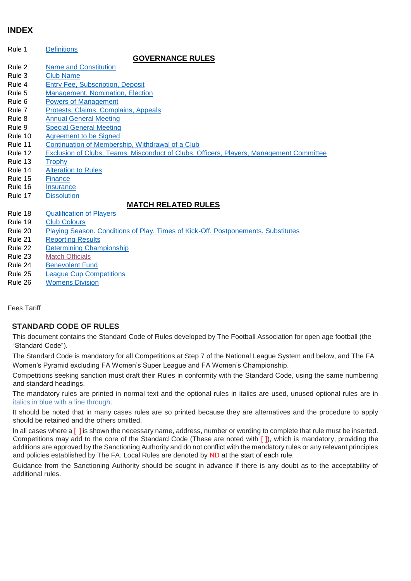# <span id="page-0-0"></span>**INDEX**

Rule 1 [Definitions](#page-1-0)

# **GOVERNANCE RULES**

- Rule 2 [Name and Constitution](#page-2-0)
- Rule 3 [Club Name](#page-2-1)
- Rule 4 [Entry Fee, Subscription, Deposit](#page-3-0)
- Rule 5 [Management, Nomination, Election](#page-3-1)
- Rule 6 [Powers of Management](#page-4-0)
- Rule 7 [Protests, Claims, Complains, Appeals](#page-5-0)
- Rule 8 [Annual General Meeting](#page-6-0) Rule 9 [Special General Meeting](#page-6-1)
- Rule 10 [Agreement to be Signed](#page-6-2)
- Rule 11 [Continuation of Membership, Withdrawal of a Club](#page-7-0)
- Rule 12 [Exclusion of Clubs, Teams. Misconduct of Clubs, Officers, Players, Management Committee](#page-7-1)
- 
- Rule 13 [Trophy](#page-7-2)<br>Rule 14 Alteration **[Alteration to Rules](#page-7-3)**
- Rule 15 [Finance](#page-8-0)<br>Rule 16 Insurance
- **[Insurance](#page-8-1)**
- Rule 17 [Dissolution](#page-8-2)

# **MATCH RELATED RULES**

- Rule 18 [Qualification of Players](#page-8-3)
- Rule 19 [Club Colours](#page-11-0)
- Rule 20 [Playing Season. Conditions of Play, Times of Kick-Off. Postponements. Substitutes](#page-11-1)<br>Rule 21 Reporting Results
- **[Reporting Results](#page-14-0)**
- Rule 22 [Determining Championship](#page-14-1)
- Rule 23 [Match Officials](#page-15-0)
- Rule 24 [Benevolent Fund](#page-16-0)
- Rule 25 [League Cup Competitions](#page-16-1)
- Rule 26 [Womens Division](#page-17-0)

Fees Tariff

## **STANDARD CODE OF RULES**

This document contains the Standard Code of Rules developed by The Football Association for open age football (the "Standard Code").

The Standard Code is mandatory for all Competitions at Step 7 of the National League System and below, and The FA Women's Pyramid excluding FA Women's Super League and FA Women's Championship.

Competitions seeking sanction must draft their Rules in conformity with the Standard Code, using the same numbering and standard headings.

The mandatory rules are printed in normal text and the optional rules in italics are used, unused optional rules are in italics in blue with a line through.

It should be noted that in many cases rules are so printed because they are alternatives and the procedure to apply should be retained and the others omitted.

In all cases where a [ ] is shown the necessary name, address, number or wording to complete that rule must be inserted. Competitions may add to the core of the Standard Code (These are noted with [ ]), which is mandatory, providing the additions are approved by the Sanctioning Authority and do not conflict with the mandatory rules or any relevant principles and policies established by The FA. Local Rules are denoted by ND at the start of each rule.

Guidance from the Sanctioning Authority should be sought in advance if there is any doubt as to the acceptability of additional rules.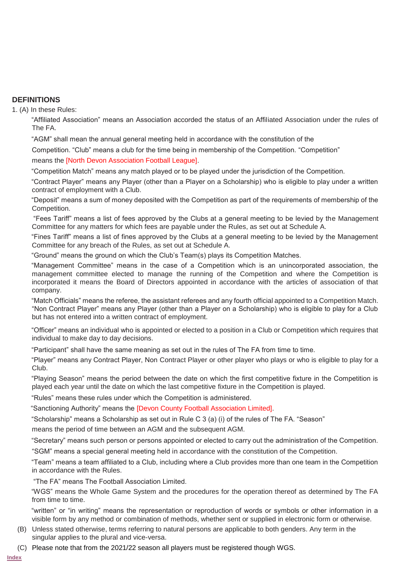## <span id="page-1-0"></span>**DEFINITIONS**

1. (A) In these Rules:

"Affiliated Association" means an Association accorded the status of an Affiliated Association under the rules of The FA.

"AGM" shall mean the annual general meeting held in accordance with the constitution of the

Competition. "Club" means a club for the time being in membership of the Competition. "Competition"

means the [North Devon Association Football League].

"Competition Match" means any match played or to be played under the jurisdiction of the Competition.

"Contract Player" means any Player (other than a Player on a Scholarship) who is eligible to play under a written contract of employment with a Club.

"Deposit" means a sum of money deposited with the Competition as part of the requirements of membership of the Competition.

"Fees Tariff" means a list of fees approved by the Clubs at a general meeting to be levied by the Management Committee for any matters for which fees are payable under the Rules, as set out at Schedule A.

"Fines Tariff" means a list of fines approved by the Clubs at a general meeting to be levied by the Management Committee for any breach of the Rules, as set out at Schedule A.

"Ground" means the ground on which the Club's Team(s) plays its Competition Matches.

"Management Committee" means in the case of a Competition which is an unincorporated association, the management committee elected to manage the running of the Competition and where the Competition is incorporated it means the Board of Directors appointed in accordance with the articles of association of that company.

"Match Officials" means the referee, the assistant referees and any fourth official appointed to a Competition Match. "Non Contract Player" means any Player (other than a Player on a Scholarship) who is eligible to play for a Club but has not entered into a written contract of employment.

"Officer" means an individual who is appointed or elected to a position in a Club or Competition which requires that individual to make day to day decisions.

"Participant" shall have the same meaning as set out in the rules of The FA from time to time.

"Player" means any Contract Player, Non Contract Player or other player who plays or who is eligible to play for a Club.

"Playing Season" means the period between the date on which the first competitive fixture in the Competition is played each year until the date on which the last competitive fixture in the Competition is played.

"Rules" means these rules under which the Competition is administered.

"Sanctioning Authority" means the [Devon County Football Association Limited].

"Scholarship" means a Scholarship as set out in Rule C 3 (a) (i) of the rules of The FA. "Season"

means the period of time between an AGM and the subsequent AGM.

"Secretary" means such person or persons appointed or elected to carry out the administration of the Competition.

"SGM" means a special general meeting held in accordance with the constitution of the Competition.

"Team" means a team affiliated to a Club, including where a Club provides more than one team in the Competition in accordance with the Rules.

"The FA" means The Football Association Limited.

"WGS" means the Whole Game System and the procedures for the operation thereof as determined by The FA from time to time.

"written" or "in writing" means the representation or reproduction of words or symbols or other information in a visible form by any method or combination of methods, whether sent or supplied in electronic form or otherwise.

- (B) Unless stated otherwise, terms referring to natural persons are applicable to both genders. Any term in the singular applies to the plural and vice-versa.
- (C) Please note that from the 2021/22 season all players must be registered though WGS.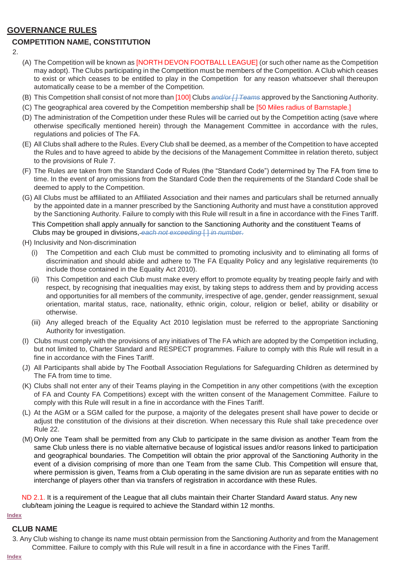# **GOVERNANCE RULES**

# <span id="page-2-0"></span>**COMPETITION NAME, CONSTITUTION**

- $\mathcal{P}$
- (A) The Competition will be known as [NORTH DEVON FOOTBALL LEAGUE] (or such other name as the Competition may adopt). The Clubs participating in the Competition must be members of the Competition. A Club which ceases to exist or which ceases to be entitled to play in the Competition for any reason whatsoever shall thereupon automatically cease to be a member of the Competition.
- (B) This Competition shall consist of not more than [100] Clubs *and/or [ ] Teams* approved by the Sanctioning Authority.
- (C) The geographical area covered by the Competition membership shall be [50 Miles radius of Barnstaple.]
- (D) The administration of the Competition under these Rules will be carried out by the Competition acting (save where otherwise specifically mentioned herein) through the Management Committee in accordance with the rules, regulations and policies of The FA.
- (E) All Clubs shall adhere to the Rules. Every Club shall be deemed, as a member of the Competition to have accepted the Rules and to have agreed to abide by the decisions of the Management Committee in relation thereto, subject to the provisions of Rule 7.
- (F) The Rules are taken from the Standard Code of Rules (the "Standard Code") determined by The FA from time to time. In the event of any omissions from the Standard Code then the requirements of the Standard Code shall be deemed to apply to the Competition.
- (G) All Clubs must be affiliated to an Affiliated Association and their names and particulars shall be returned annually by the appointed date in a manner prescribed by the Sanctioning Authority and must have a constitution approved by the Sanctioning Authority. Failure to comply with this Rule will result in a fine in accordance with the Fines Tariff.

This Competition shall apply annually for sanction to the Sanctioning Authority and the constituent Teams of Clubs may be grouped in divisions, *each not exceeding* [ ] *in numbe*r.

- (H) Inclusivity and Non-discrimination
	- (i) The Competition and each Club must be committed to promoting inclusivity and to eliminating all forms of discrimination and should abide and adhere to The FA Equality Policy and any legislative requirements (to include those contained in the Equality Act 2010).
	- (ii) This Competition and each Club must make every effort to promote equality by treating people fairly and with respect, by recognising that inequalities may exist, by taking steps to address them and by providing access and opportunities for all members of the community, irrespective of age, gender, gender reassignment, sexual orientation, marital status, race, nationality, ethnic origin, colour, religion or belief, ability or disability or otherwise.
	- (iii) Any alleged breach of the Equality Act 2010 legislation must be referred to the appropriate Sanctioning Authority for investigation.
- (I) Clubs must comply with the provisions of any initiatives of The FA which are adopted by the Competition including, but not limited to, Charter Standard and RESPECT programmes. Failure to comply with this Rule will result in a fine in accordance with the Fines Tariff.
- (J) All Participants shall abide by The Football Association Regulations for Safeguarding Children as determined by The FA from time to time.
- (K) Clubs shall not enter any of their Teams playing in the Competition in any other competitions (with the exception of FA and County FA Competitions) except with the written consent of the Management Committee. Failure to comply with this Rule will result in a fine in accordance with the Fines Tariff.
- (L) At the AGM or a SGM called for the purpose, a majority of the delegates present shall have power to decide or adjust the constitution of the divisions at their discretion. When necessary this Rule shall take precedence over Rule 22.
- (M) Only one Team shall be permitted from any Club to participate in the same division as another Team from the same Club unless there is no viable alternative because of logistical issues and/or reasons linked to participation and geographical boundaries. The Competition will obtain the prior approval of the Sanctioning Authority in the event of a division comprising of more than one Team from the same Club. This Competition will ensure that, where permission is given, Teams from a Club operating in the same division are run as separate entities with no interchange of players other than via transfers of registration in accordance with these Rules.

ND 2.1. It is a requirement of the League that all clubs maintain their Charter Standard Award status. Any new club/team joining the League is required to achieve the Standard within 12 months.

#### <span id="page-2-1"></span>**[Index](#page-0-0)**

## **CLUB NAME**

3. Any Club wishing to change its name must obtain permission from the Sanctioning Authority and from the Management Committee. Failure to comply with this Rule will result in a fine in accordance with the Fines Tariff.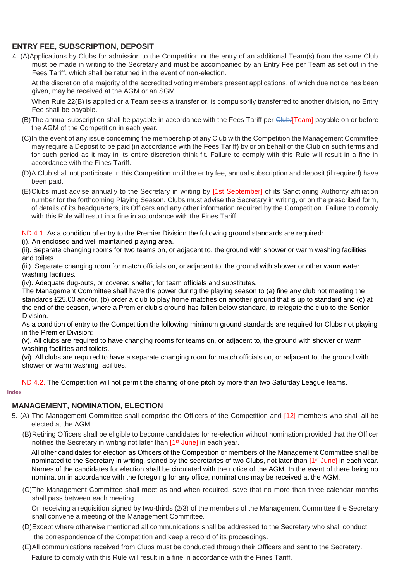# <span id="page-3-0"></span>**ENTRY FEE, SUBSCRIPTION, DEPOSIT**

4. (A)Applications by Clubs for admission to the Competition or the entry of an additional Team(s) from the same Club must be made in writing to the Secretary and must be accompanied by an Entry Fee per Team as set out in the Fees Tariff, which shall be returned in the event of non-election.

At the discretion of a majority of the accredited voting members present applications, of which due notice has been given, may be received at the AGM or an SGM.

When Rule 22(B) is applied or a Team seeks a transfer or, is compulsorily transferred to another division, no Entry Fee shall be payable.

- (B) The annual subscription shall be payable in accordance with the Fees Tariff per Club/[Team] payable on or before the AGM of the Competition in each year.
- (C)In the event of any issue concerning the membership of any Club with the Competition the Management Committee may require a Deposit to be paid (in accordance with the Fees Tariff) by or on behalf of the Club on such terms and for such period as it may in its entire discretion think fit. Failure to comply with this Rule will result in a fine in accordance with the Fines Tariff.
- (D)A Club shall not participate in this Competition until the entry fee, annual subscription and deposit (if required) have been paid.
- (E)Clubs must advise annually to the Secretary in writing by [1st September] of its Sanctioning Authority affiliation number for the forthcoming Playing Season. Clubs must advise the Secretary in writing, or on the prescribed form, of details of its headquarters, its Officers and any other information required by the Competition. Failure to comply with this Rule will result in a fine in accordance with the Fines Tariff.

ND 4.1. As a condition of entry to the Premier Division the following ground standards are required:

(i). An enclosed and well maintained playing area.

(ii). Separate changing rooms for two teams on, or adjacent to, the ground with shower or warm washing facilities and toilets.

(iii). Separate changing room for match officials on, or adjacent to, the ground with shower or other warm water washing facilities.

(iv). Adequate dug-outs, or covered shelter, for team officials and substitutes.

The Management Committee shall have the power during the playing season to (a) fine any club not meeting the standards £25.00 and/or, (b) order a club to play home matches on another ground that is up to standard and (c) at the end of the season, where a Premier club's ground has fallen below standard, to relegate the club to the Senior Division.

As a condition of entry to the Competition the following minimum ground standards are required for Clubs not playing in the Premier Division:

(v). All clubs are required to have changing rooms for teams on, or adjacent to, the ground with shower or warm washing facilities and toilets.

(vi). All clubs are required to have a separate changing room for match officials on, or adjacent to, the ground with shower or warm washing facilities.

ND 4.2. The Competition will not permit the sharing of one pitch by more than two Saturday League teams.

#### **[Index](#page-0-0)**

# <span id="page-3-1"></span>**MANAGEMENT, NOMINATION, ELECTION**

- 5. (A) The Management Committee shall comprise the Officers of the Competition and [12] members who shall all be elected at the AGM.
	- (B)Retiring Officers shall be eligible to become candidates for re-election without nomination provided that the Officer notifies the Secretary in writing not later than [1<sup>st</sup> June] in each year.

All other candidates for election as Officers of the Competition or members of the Management Committee shall be nominated to the Secretary in writing, signed by the secretaries of two Clubs, not later than [1<sup>st</sup> June] in each year. Names of the candidates for election shall be circulated with the notice of the AGM. In the event of there being no nomination in accordance with the foregoing for any office, nominations may be received at the AGM.

(C)The Management Committee shall meet as and when required, save that no more than three calendar months shall pass between each meeting.

On receiving a requisition signed by two-thirds (2/3) of the members of the Management Committee the Secretary shall convene a meeting of the Management Committee.

- (D)Except where otherwise mentioned all communications shall be addressed to the Secretary who shall conduct the correspondence of the Competition and keep a record of its proceedings.
- (E)All communications received from Clubs must be conducted through their Officers and sent to the Secretary. Failure to comply with this Rule will result in a fine in accordance with the Fines Tariff.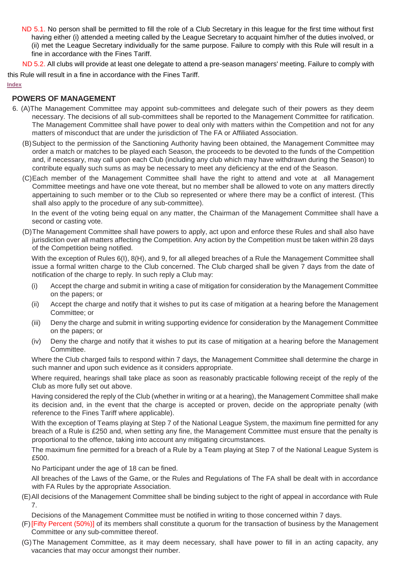- ND 5.1. No person shall be permitted to fill the role of a Club Secretary in this league for the first time without first having either (i) attended a meeting called by the League Secretary to acquaint him/her of the duties involved, or (ii) met the League Secretary individually for the same purpose. Failure to comply with this Rule will result in a fine in accordance with the Fines Tariff.
- ND 5.2. All clubs will provide at least one delegate to attend a pre-season managers' meeting. Failure to comply with

this Rule will result in a fine in accordance with the Fines Tariff.

#### **[Index](#page-0-0)**

## <span id="page-4-0"></span>**POWERS OF MANAGEMENT**

- 6. (A)The Management Committee may appoint sub-committees and delegate such of their powers as they deem necessary. The decisions of all sub-committees shall be reported to the Management Committee for ratification. The Management Committee shall have power to deal only with matters within the Competition and not for any matters of misconduct that are under the jurisdiction of The FA or Affiliated Association.
	- (B)Subject to the permission of the Sanctioning Authority having been obtained, the Management Committee may order a match or matches to be played each Season, the proceeds to be devoted to the funds of the Competition and, if necessary, may call upon each Club (including any club which may have withdrawn during the Season) to contribute equally such sums as may be necessary to meet any deficiency at the end of the Season.
	- (C)Each member of the Management Committee shall have the right to attend and vote at all Management Committee meetings and have one vote thereat, but no member shall be allowed to vote on any matters directly appertaining to such member or to the Club so represented or where there may be a conflict of interest. (This shall also apply to the procedure of any sub-committee).

In the event of the voting being equal on any matter, the Chairman of the Management Committee shall have a second or casting vote.

(D)The Management Committee shall have powers to apply, act upon and enforce these Rules and shall also have jurisdiction over all matters affecting the Competition. Any action by the Competition must be taken within 28 days of the Competition being notified.

With the exception of Rules 6(I), 8(H), and 9, for all alleged breaches of a Rule the Management Committee shall issue a formal written charge to the Club concerned. The Club charged shall be given 7 days from the date of notification of the charge to reply. In such reply a Club may:

- (i) Accept the charge and submit in writing a case of mitigation for consideration by the Management Committee on the papers; or
- (ii) Accept the charge and notify that it wishes to put its case of mitigation at a hearing before the Management Committee; or
- (iii) Deny the charge and submit in writing supporting evidence for consideration by the Management Committee on the papers; or
- (iv) Deny the charge and notify that it wishes to put its case of mitigation at a hearing before the Management Committee.

Where the Club charged fails to respond within 7 days, the Management Committee shall determine the charge in such manner and upon such evidence as it considers appropriate.

Where required, hearings shall take place as soon as reasonably practicable following receipt of the reply of the Club as more fully set out above.

Having considered the reply of the Club (whether in writing or at a hearing), the Management Committee shall make its decision and, in the event that the charge is accepted or proven, decide on the appropriate penalty (with reference to the Fines Tariff where applicable).

With the exception of Teams playing at Step 7 of the National League System, the maximum fine permitted for any breach of a Rule is £250 and, when setting any fine, the Management Committee must ensure that the penalty is proportional to the offence, taking into account any mitigating circumstances.

The maximum fine permitted for a breach of a Rule by a Team playing at Step 7 of the National League System is £500.

No Participant under the age of 18 can be fined.

All breaches of the Laws of the Game, or the Rules and Regulations of The FA shall be dealt with in accordance with FA Rules by the appropriate Association.

(E)All decisions of the Management Committee shall be binding subject to the right of appeal in accordance with Rule 7.

Decisions of the Management Committee must be notified in writing to those concerned within 7 days.

- (F)[Fifty Percent (50%)] of its members shall constitute a quorum for the transaction of business by the Management Committee or any sub-committee thereof.
- (G)The Management Committee, as it may deem necessary, shall have power to fill in an acting capacity, any vacancies that may occur amongst their number.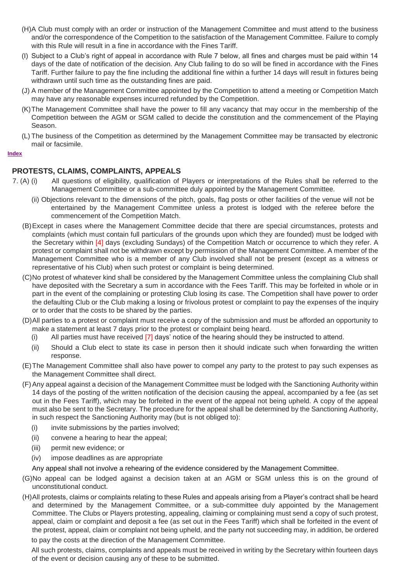- (H)A Club must comply with an order or instruction of the Management Committee and must attend to the business and/or the correspondence of the Competition to the satisfaction of the Management Committee. Failure to comply with this Rule will result in a fine in accordance with the Fines Tariff.
- (I) Subject to a Club's right of appeal in accordance with Rule 7 below, all fines and charges must be paid within 14 days of the date of notification of the decision. Any Club failing to do so will be fined in accordance with the Fines Tariff. Further failure to pay the fine including the additional fine within a further 14 days will result in fixtures being withdrawn until such time as the outstanding fines are paid.
- (J) A member of the Management Committee appointed by the Competition to attend a meeting or Competition Match may have any reasonable expenses incurred refunded by the Competition.
- (K)The Management Committee shall have the power to fill any vacancy that may occur in the membership of the Competition between the AGM or SGM called to decide the constitution and the commencement of the Playing Season.
- (L) The business of the Competition as determined by the Management Committee may be transacted by electronic mail or facsimile.

#### **Index**

## <span id="page-5-0"></span>**PROTESTS, CLAIMS, COMPLAINTS, APPEALS**

- 7. (A) (i) All questions of eligibility, qualification of Players or interpretations of the Rules shall be referred to the Management Committee or a sub-committee duly appointed by the Management Committee.
	- (ii) Objections relevant to the dimensions of the pitch, goals, flag posts or other facilities of the venue will not be entertained by the Management Committee unless a protest is lodged with the referee before the commencement of the Competition Match.
	- (B)Except in cases where the Management Committee decide that there are special circumstances, protests and complaints (which must contain full particulars of the grounds upon which they are founded) must be lodged with the Secretary within [4] days (excluding Sundays) of the Competition Match or occurrence to which they refer. A protest or complaint shall not be withdrawn except by permission of the Management Committee. A member of the Management Committee who is a member of any Club involved shall not be present (except as a witness or representative of his Club) when such protest or complaint is being determined.
	- (C)No protest of whatever kind shall be considered by the Management Committee unless the complaining Club shall have deposited with the Secretary a sum in accordance with the Fees Tariff. This may be forfeited in whole or in part in the event of the complaining or protesting Club losing its case. The Competition shall have power to order the defaulting Club or the Club making a losing or frivolous protest or complaint to pay the expenses of the inquiry or to order that the costs to be shared by the parties.
	- (D)All parties to a protest or complaint must receive a copy of the submission and must be afforded an opportunity to make a statement at least 7 days prior to the protest or complaint being heard.
		- (i) All parties must have received [7] days' notice of the hearing should they be instructed to attend.
		- (ii) Should a Club elect to state its case in person then it should indicate such when forwarding the written response.
	- (E)The Management Committee shall also have power to compel any party to the protest to pay such expenses as the Management Committee shall direct.
	- (F)Any appeal against a decision of the Management Committee must be lodged with the Sanctioning Authority within 14 days of the posting of the written notification of the decision causing the appeal, accompanied by a fee (as set out in the Fees Tariff), which may be forfeited in the event of the appeal not being upheld. A copy of the appeal must also be sent to the Secretary. The procedure for the appeal shall be determined by the Sanctioning Authority, in such respect the Sanctioning Authority may (but is not obliged to):
		- (i) invite submissions by the parties involved;
		- (ii) convene a hearing to hear the appeal;
		- (iii) permit new evidence; or
		- (iv) impose deadlines as are appropriate
		- Any appeal shall not involve a rehearing of the evidence considered by the Management Committee.
	- (G)No appeal can be lodged against a decision taken at an AGM or SGM unless this is on the ground of unconstitutional conduct.
	- (H)All protests, claims or complaints relating to these Rules and appeals arising from a Player's contract shall be heard and determined by the Management Committee, or a sub-committee duly appointed by the Management Committee. The Clubs or Players protesting, appealing, claiming or complaining must send a copy of such protest, appeal, claim or complaint and deposit a fee (as set out in the Fees Tariff) which shall be forfeited in the event of the protest, appeal, claim or complaint not being upheld, and the party not succeeding may, in addition, be ordered to pay the costs at the direction of the Management Committee.

All such protests, claims, complaints and appeals must be received in writing by the Secretary within fourteen days of the event or decision causing any of these to be submitted.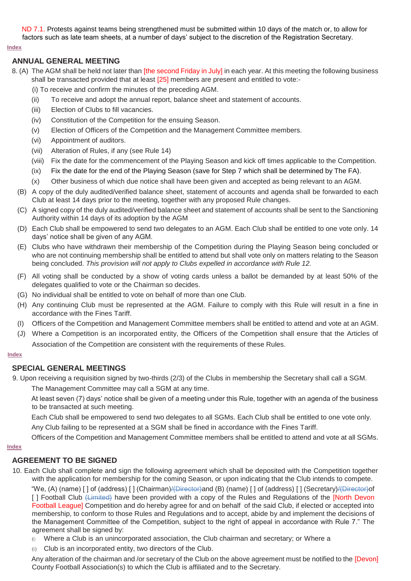ND 7.1. Protests against teams being strengthened must be submitted within 10 days of the match or, to allow for factors such as late team sheets, at a number of days' subject to the discretion of the Registration Secretary.

#### **[Index](#page-0-0)**

## <span id="page-6-0"></span>**ANNUAL GENERAL MEETING**

- 8. (A) The AGM shall be held not later than [the second Friday in July] in each year. At this meeting the following business shall be transacted provided that at least [25] members are present and entitled to vote:-
	- (i) To receive and confirm the minutes of the preceding AGM.
	- (ii) To receive and adopt the annual report, balance sheet and statement of accounts.
	- (iii) Election of Clubs to fill vacancies.
	- (iv) Constitution of the Competition for the ensuing Season.
	- (v) Election of Officers of the Competition and the Management Committee members.
	- (vi) Appointment of auditors.
	- (vii) Alteration of Rules, if any (see Rule 14)
	- (viii) Fix the date for the commencement of the Playing Season and kick off times applicable to the Competition.
	- (ix) Fix the date for the end of the Playing Season (save for Step 7 which shall be determined by The FA).
	- (x) Other business of which due notice shall have been given and accepted as being relevant to an AGM.
	- (B) A copy of the duly audited/verified balance sheet, statement of accounts and agenda shall be forwarded to each Club at least 14 days prior to the meeting, together with any proposed Rule changes.
	- (C) A signed copy of the duly audited/verified balance sheet and statement of accounts shall be sent to the Sanctioning Authority within 14 days of its adoption by the AGM
	- (D) Each Club shall be empowered to send two delegates to an AGM. Each Club shall be entitled to one vote only. 14 days' notice shall be given of any AGM.
	- (E) Clubs who have withdrawn their membership of the Competition during the Playing Season being concluded or who are not continuing membership shall be entitled to attend but shall vote only on matters relating to the Season being concluded. *This provision will not apply to Clubs expelled in accordance with Rule 12.*
	- (F) All voting shall be conducted by a show of voting cards unless a ballot be demanded by at least 50% of the delegates qualified to vote or the Chairman so decides.
	- (G) No individual shall be entitled to vote on behalf of more than one Club.
	- (H) Any continuing Club must be represented at the AGM. Failure to comply with this Rule will result in a fine in accordance with the Fines Tariff.
	- (I) Officers of the Competition and Management Committee members shall be entitled to attend and vote at an AGM.
	- (J) Where a Competition is an incorporated entity, the Officers of the Competition shall ensure that the Articles of Association of the Competition are consistent with the requirements of these Rules.

#### **[Index](#page-0-0)**

## <span id="page-6-1"></span>**SPECIAL GENERAL MEETINGS**

- 9. Upon receiving a requisition signed by two-thirds (2/3) of the Clubs in membership the Secretary shall call a SGM.
	- The Management Committee may call a SGM at any time.

At least seven (7) days' notice shall be given of a meeting under this Rule, together with an agenda of the business to be transacted at such meeting.

Each Club shall be empowered to send two delegates to all SGMs. Each Club shall be entitled to one vote only.

Any Club failing to be represented at a SGM shall be fined in accordance with the Fines Tariff.

Officers of the Competition and Management Committee members shall be entitled to attend and vote at all SGMs.

#### **[Index](#page-0-0)**

# <span id="page-6-2"></span>**AGREEMENT TO BE SIGNED**

10. Each Club shall complete and sign the following agreement which shall be deposited with the Competition together with the application for membership for the coming Season, or upon indicating that the Club intends to compete.

"We, (A) (name) [] of (address) [] (Chairman)/<del>(Director)</del>and (B) (name) [] of (address) [] (Secretary)/<del>(Director)</del>of [ ] Football Club (Limited) have been provided with a copy of the Rules and Regulations of the [North Devon Football League] Competition and do hereby agree for and on behalf of the said Club, if elected or accepted into membership, to conform to those Rules and Regulations and to accept, abide by and implement the decisions of the Management Committee of the Competition, subject to the right of appeal in accordance with Rule 7." The agreement shall be signed by:

- Where a Club is an unincorporated association, the Club chairman and secretary; or Where a  $(i)$
- (ii) Club is an incorporated entity, two directors of the Club.

Any alteration of the chairman and /or secretary of the Club on the above agreement must be notified to the [Devon] County Football Association(s) to which the Club is affiliated and to the Secretary.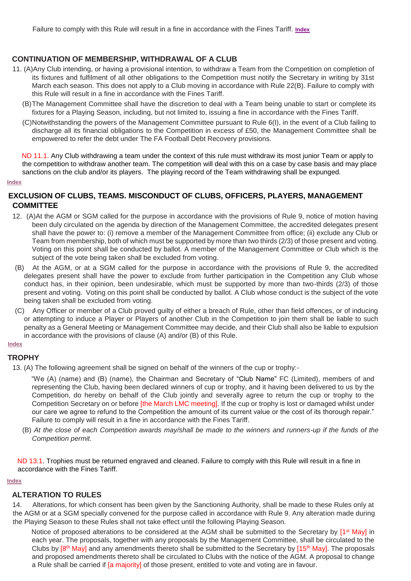## <span id="page-7-0"></span>**CONTINUATION OF MEMBERSHIP, WITHDRAWAL OF A CLUB**

- 11. (A)Any Club intending, or having a provisional intention, to withdraw a Team from the Competition on completion of its fixtures and fulfilment of all other obligations to the Competition must notify the Secretary in writing by 31st March each season. This does not apply to a Club moving in accordance with Rule 22(B). Failure to comply with this Rule will result in a fine in accordance with the Fines Tariff.
	- (B)The Management Committee shall have the discretion to deal with a Team being unable to start or complete its fixtures for a Playing Season, including, but not limited to, issuing a fine in accordance with the Fines Tariff.
	- (C)Notwithstanding the powers of the Management Committee pursuant to Rule 6(I), in the event of a Club failing to discharge all its financial obligations to the Competition in excess of £50, the Management Committee shall be empowered to refer the debt under The FA Football Debt Recovery provisions.

ND 11.1. Any Club withdrawing a team under the context of this rule must withdraw its most junior Team or apply to the competition to withdraw another team. The competition will deal with this on a case by case basis and may place sanctions on the club and/or its players. The playing record of the Team withdrawing shall be expunged.

#### **[Index](#page-0-0)**

## <span id="page-7-1"></span>**EXCLUSION OF CLUBS, TEAMS. MISCONDUCT OF CLUBS, OFFICERS, PLAYERS, MANAGEMENT COMMITTEE**

- 12. (A)At the AGM or SGM called for the purpose in accordance with the provisions of Rule 9, notice of motion having been duly circulated on the agenda by direction of the Management Committee, the accredited delegates present shall have the power to: (i) remove a member of the Management Committee from office; (ii) exclude any Club or Team from membership, both of which must be supported by more than two thirds (2/3) of those present and voting. Voting on this point shall be conducted by ballot. A member of the Management Committee or Club which is the subject of the vote being taken shall be excluded from voting.
- (B) At the AGM, or at a SGM called for the purpose in accordance with the provisions of Rule 9, the accredited delegates present shall have the power to exclude from further participation in the Competition any Club whose conduct has, in their opinion, been undesirable, which must be supported by more than two-thirds (2/3) of those present and voting. Voting on this point shall be conducted by ballot. A Club whose conduct is the subject of the vote being taken shall be excluded from voting.
- (C) Any Officer or member of a Club proved guilty of either a breach of Rule, other than field offences, or of inducing or attempting to induce a Player or Players of another Club in the Competition to join them shall be liable to such penalty as a General Meeting or Management Committee may decide, and their Club shall also be liable to expulsion in accordance with the provisions of clause (A) and/or (B) of this Rule.

# **[Index](#page-0-0)**

# <span id="page-7-2"></span>**TROPHY**

13. (A) The following agreement shall be signed on behalf of the winners of the cup or trophy:-

"We (A) (name) and (B) (name), the Chairman and Secretary of "Club Name" FC (Limited), members of and representing the Club, having been declared winners of cup or trophy, and it having been delivered to us by the Competition, do hereby on behalf of the Club jointly and severally agree to return the cup or trophy to the Competition Secretary on or before [the March LMC meeting]. If the cup or trophy is lost or damaged whilst under our care we agree to refund to the Competition the amount of its current value or the cost of its thorough repair." Failure to comply will result in a fine in accordance with the Fines Tariff.

(B) *At the close of each Competition awards may/shall be made to the winners and runners-up if the funds of the Competition permit.* 

ND 13.1. Trophies must be returned engraved and cleaned. Failure to comply with this Rule will result in a fine in accordance with the Fines Tariff.

## <span id="page-7-3"></span>**[Index](#page-0-0)**

## **ALTERATION TO RULES**

14. Alterations, for which consent has been given by the Sanctioning Authority, shall be made to these Rules only at the AGM or at a SGM specially convened for the purpose called in accordance with Rule 9. Any alteration made during the Playing Season to these Rules shall not take effect until the following Playing Season.

Notice of proposed alterations to be considered at the AGM shall be submitted to the Secretary by [1<sup>st</sup> May] in each year. The proposals, together with any proposals by the Management Committee, shall be circulated to the Clubs by [8<sup>th</sup> May] and any amendments thereto shall be submitted to the Secretary by [15<sup>th</sup> May]. The proposals and proposed amendments thereto shall be circulated to Clubs with the notice of the AGM. A proposal to change a Rule shall be carried if [a majority] of those present, entitled to vote and voting are in favour.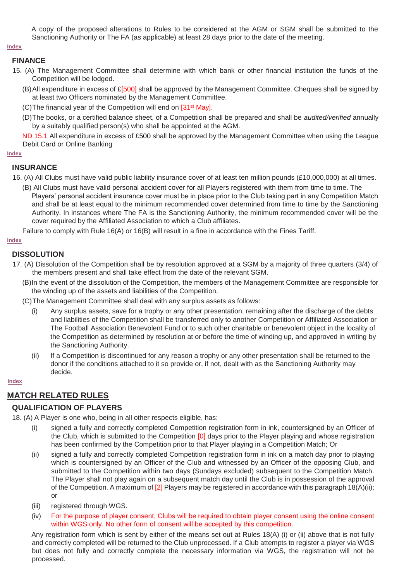A copy of the proposed alterations to Rules to be considered at the AGM or SGM shall be submitted to the Sanctioning Authority or The FA (as applicable) at least 28 days prior to the date of the meeting.

## **[Index](#page-0-0)**

## <span id="page-8-0"></span>**FINANCE**

- 15. (A) The Management Committee shall determine with which bank or other financial institution the funds of the Competition will be lodged.
	- (B)All expenditure in excess of £[500] shall be approved by the Management Committee. Cheques shall be signed by at least two Officers nominated by the Management Committee.
	- (C)The financial year of the Competition will end on [31st May].
	- (D)The books, or a certified balance sheet, of a Competition shall be prepared and shall be *audited/verified* annually by a suitably qualified person(s) who shall be appointed at the AGM.

ND 15.1 All expenditure in excess of £500 shall be approved by the Management Committee when using the League Debit Card or Online Banking

#### **[Index](#page-0-0)**

## <span id="page-8-1"></span>**INSURANCE**

- 16. (A) All Clubs must have valid public liability insurance cover of at least ten million pounds (£10,000,000) at all times.
	- (B) All Clubs must have valid personal accident cover for all Players registered with them from time to time. The Players' personal accident insurance cover must be in place prior to the Club taking part in any Competition Match and shall be at least equal to the minimum recommended cover determined from time to time by the Sanctioning Authority. In instances where The FA is the Sanctioning Authority, the minimum recommended cover will be the cover required by the Affiliated Association to which a Club affiliates.

Failure to comply with Rule 16(A) or 16(B) will result in a fine in accordance with the Fines Tariff.

## **[Index](#page-0-0)**

## <span id="page-8-2"></span>**DISSOLUTION**

- 17. (A) Dissolution of the Competition shall be by resolution approved at a SGM by a majority of three quarters (3/4) of the members present and shall take effect from the date of the relevant SGM.
	- (B)In the event of the dissolution of the Competition, the members of the Management Committee are responsible for the winding up of the assets and liabilities of the Competition.
	- (C)The Management Committee shall deal with any surplus assets as follows:
		- (i) Any surplus assets, save for a trophy or any other presentation, remaining after the discharge of the debts and liabilities of the Competition shall be transferred only to another Competition or Affiliated Association or The Football Association Benevolent Fund or to such other charitable or benevolent object in the locality of the Competition as determined by resolution at or before the time of winding up, and approved in writing by the Sanctioning Authority.
		- (ii) If a Competition is discontinued for any reason a trophy or any other presentation shall be returned to the donor if the conditions attached to it so provide or, if not, dealt with as the Sanctioning Authority may decide.

### **[Index](#page-0-0)**

# **MATCH RELATED RULES**

## <span id="page-8-3"></span>**QUALIFICATION OF PLAYERS**

18. (A) A Player is one who, being in all other respects eligible, has:

- (i) signed a fully and correctly completed Competition registration form in ink, countersigned by an Officer of the Club, which is submitted to the Competition [0] days prior to the Player playing and whose registration has been confirmed by the Competition prior to that Player playing in a Competition Match; Or
- (ii) signed a fully and correctly completed Competition registration form in ink on a match day prior to playing which is countersigned by an Officer of the Club and witnessed by an Officer of the opposing Club, and submitted to the Competition within two days (Sundays excluded) subsequent to the Competition Match. The Player shall not play again on a subsequent match day until the Club is in possession of the approval of the Competition. A maximum of [2] Players may be registered in accordance with this paragraph 18(A)(ii); or
- (iii) registered through WGS.
- (iv) For the purpose of player consent, Clubs will be required to obtain player consent using the online consent within WGS only. No other form of consent will be accepted by this competition.

Any registration form which is sent by either of the means set out at Rules 18(A) (i) or (ii) above that is not fully and correctly completed will be returned to the Club unprocessed. If a Club attempts to register a player via WGS but does not fully and correctly complete the necessary information via WGS, the registration will not be processed.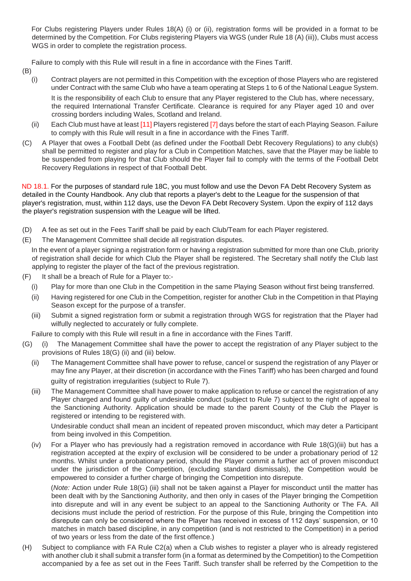For Clubs registering Players under Rules 18(A) (i) or (ii), registration forms will be provided in a format to be determined by the Competition. For Clubs registering Players via WGS (under Rule 18 (A) (iii)), Clubs must access WGS in order to complete the registration process.

Failure to comply with this Rule will result in a fine in accordance with the Fines Tariff.

- (B)
	- (i) Contract players are not permitted in this Competition with the exception of those Players who are registered under Contract with the same Club who have a team operating at Steps 1 to 6 of the National League System. It is the responsibility of each Club to ensure that any Player registered to the Club has, where necessary, the required International Transfer Certificate. Clearance is required for any Player aged 10 and over crossing borders including Wales, Scotland and Ireland.
	- (ii) Each Club must have at least [11] Players registered [7] days before the start of each Playing Season. Failure to comply with this Rule will result in a fine in accordance with the Fines Tariff.
- (C) A Player that owes a Football Debt (as defined under the Football Debt Recovery Regulations) to any club(s) shall be permitted to register and play for a Club in Competition Matches, save that the Player may be liable to be suspended from playing for that Club should the Player fail to comply with the terms of the Football Debt Recovery Regulations in respect of that Football Debt.

ND 18.1. For the purposes of standard rule 18C, you must follow and use the Devon FA Debt Recovery System as detailed in the County Handbook. Any club that reports a player's debt to the League for the suspension of that player's registration, must, within 112 days, use the Devon FA Debt Recovery System. Upon the expiry of 112 days the player's registration suspension with the League will be lifted.

- (D) A fee as set out in the Fees Tariff shall be paid by each Club/Team for each Player registered.
- (E) The Management Committee shall decide all registration disputes.

In the event of a player signing a registration form or having a registration submitted for more than one Club, priority of registration shall decide for which Club the Player shall be registered. The Secretary shall notify the Club last applying to register the player of the fact of the previous registration.

- (F) It shall be a breach of Rule for a Player to:-
	- (i) Play for more than one Club in the Competition in the same Playing Season without first being transferred.
	- (ii) Having registered for one Club in the Competition, register for another Club in the Competition in that Playing Season except for the purpose of a transfer.
	- (iii) Submit a signed registration form or submit a registration through WGS for registration that the Player had wilfully neglected to accurately or fully complete.

Failure to comply with this Rule will result in a fine in accordance with the Fines Tariff.

- (G) (i) The Management Committee shall have the power to accept the registration of any Player subject to the provisions of Rules 18(G) (ii) and (iii) below.
	- (ii) The Management Committee shall have power to refuse, cancel or suspend the registration of any Player or may fine any Player, at their discretion (in accordance with the Fines Tariff) who has been charged and found guilty of registration irregularities (subject to Rule 7).
	- (iii) The Management Committee shall have power to make application to refuse or cancel the registration of any Player charged and found guilty of undesirable conduct (subject to Rule 7) subject to the right of appeal to the Sanctioning Authority. Application should be made to the parent County of the Club the Player is registered or intending to be registered with.

Undesirable conduct shall mean an incident of repeated proven misconduct, which may deter a Participant from being involved in this Competition.

(iv) For a Player who has previously had a registration removed in accordance with Rule 18(G)(iii) but has a registration accepted at the expiry of exclusion will be considered to be under a probationary period of 12 months. Whilst under a probationary period, should the Player commit a further act of proven misconduct under the jurisdiction of the Competition, (excluding standard dismissals), the Competition would be empowered to consider a further charge of bringing the Competition into disrepute.

(*Note:* Action under Rule 18(G) (iii) shall not be taken against a Player for misconduct until the matter has been dealt with by the Sanctioning Authority, and then only in cases of the Player bringing the Competition into disrepute and will in any event be subject to an appeal to the Sanctioning Authority or The FA. All decisions must include the period of restriction. For the purpose of this Rule, bringing the Competition into disrepute can only be considered where the Player has received in excess of 112 days' suspension, or 10 matches in match based discipline, in any competition (and is not restricted to the Competition) in a period of two years or less from the date of the first offence.)

(H) Subject to compliance with FA Rule C2(a) when a Club wishes to register a player who is already registered with another club it shall submit a transfer form (in a format as determined by the Competition) to the Competition accompanied by a fee as set out in the Fees Tariff. Such transfer shall be referred by the Competition to the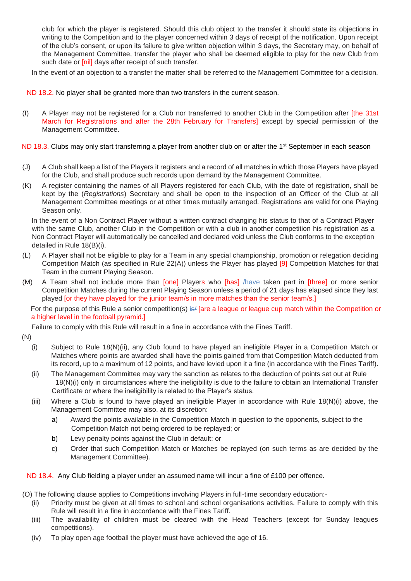club for which the player is registered. Should this club object to the transfer it should state its objections in writing to the Competition and to the player concerned within 3 days of receipt of the notification. Upon receipt of the club's consent, or upon its failure to give written objection within 3 days, the Secretary may, on behalf of the Management Committee, transfer the player who shall be deemed eligible to play for the new Club from such date or [nil] days after receipt of such transfer.

In the event of an objection to a transfer the matter shall be referred to the Management Committee for a decision.

## ND 18.2. No player shall be granted more than two transfers in the current season.

(I) A Player may not be registered for a Club nor transferred to another Club in the Competition after [the 31st March for Registrations and after the 28th February for Transfers] except by special permission of the Management Committee.

## ND 18.3. Clubs may only start transferring a player from another club on or after the 1<sup>st</sup> September in each season

- (J) A Club shall keep a list of the Players it registers and a record of all matches in which those Players have played for the Club, and shall produce such records upon demand by the Management Committee.
- (K) A register containing the names of all Players registered for each Club, with the date of registration, shall be kept by the (*Registrations*) Secretary and shall be open to the inspection of an Officer of the Club at all Management Committee meetings or at other times mutually arranged. Registrations are valid for one Playing Season only.

In the event of a Non Contract Player without a written contract changing his status to that of a Contract Player with the same Club, another Club in the Competition or with a club in another competition his registration as a Non Contract Player will automatically be cancelled and declared void unless the Club conforms to the exception detailed in Rule 18(B)(i).

- (L) A Player shall not be eligible to play for a Team in any special championship, promotion or relegation deciding Competition Match (as specified in Rule 22(A)) unless the Player has played [9] Competition Matches for that Team in the current Playing Season.
- (M) A Team shall not include more than [one] Players who [has] /have taken part in [three] or more senior Competition Matches during the current Playing Season unless a period of 21 days has elapsed since they last played [or they have played for the junior team/s in more matches than the senior team/s.]

For the purpose of this Rule a senior competition(s) is fare a league or league cup match within the Competition or a higher level in the football pyramid.]

Failure to comply with this Rule will result in a fine in accordance with the Fines Tariff.

- (N)
	- (i) Subject to Rule 18(N)(ii), any Club found to have played an ineligible Player in a Competition Match or Matches where points are awarded shall have the points gained from that Competition Match deducted from its record, up to a maximum of 12 points, and have levied upon it a fine (in accordance with the Fines Tariff).
	- (ii) The Management Committee may vary the sanction as relates to the deduction of points set out at Rule 18(N)(i) only in circumstances where the ineligibility is due to the failure to obtain an International Transfer Certificate or where the ineligibility is related to the Player's status.
	- (iii) Where a Club is found to have played an ineligible Player in accordance with Rule 18(N)(i) above, the Management Committee may also, at its discretion:
		- a) Award the points available in the Competition Match in question to the opponents, subject to the Competition Match not being ordered to be replayed; or
		- b) Levy penalty points against the Club in default; or
		- c) Order that such Competition Match or Matches be replayed (on such terms as are decided by the Management Committee).

## ND 18.4. Any Club fielding a player under an assumed name will incur a fine of £100 per offence.

(O) The following clause applies to Competitions involving Players in full-time secondary education:-

- (ii) Priority must be given at all times to school and school organisations activities. Failure to comply with this Rule will result in a fine in accordance with the Fines Tariff.
- (iii) The availability of children must be cleared with the Head Teachers (except for Sunday leagues competitions).
- (iv) To play open age football the player must have achieved the age of 16.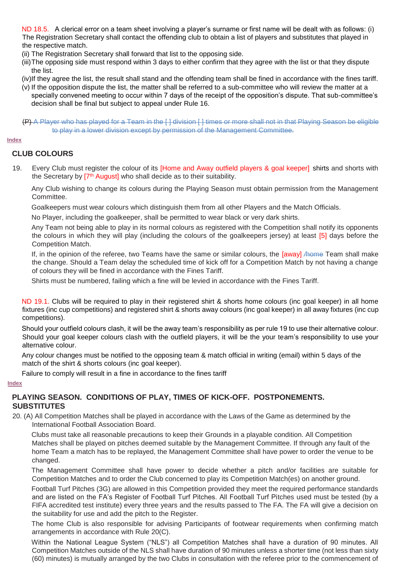ND 18.5. A clerical error on a team sheet involving a player's surname or first name will be dealt with as follows: (i) The Registration Secretary shall contact the offending club to obtain a list of players and substitutes that played in the respective match.

- (ii) The Registration Secretary shall forward that list to the opposing side.
- (iii)The opposing side must respond within 3 days to either confirm that they agree with the list or that they dispute the list.
- (iv)If they agree the list, the result shall stand and the offending team shall be fined in accordance with the fines tariff.
- (v) If the opposition dispute the list, the matter shall be referred to a sub-committee who will review the matter at a specially convened meeting to occur within 7 days of the receipt of the opposition's dispute. That sub-committee's decision shall be final but subject to appeal under Rule 16.

(P) A Player who has played for a Team in the [ ] division [ ] times or more shall not in that Playing Season be eligible to play in a lower division except by permission of the Management Committee.

**[Index](#page-0-0)**

## <span id="page-11-0"></span>**CLUB COLOURS**

19. Every Club must register the colour of its [Home and Away outfield players & goal keeper] shirts and shorts with the Secretary by [7<sup>th</sup> August] who shall decide as to their suitability.

Any Club wishing to change its colours during the Playing Season must obtain permission from the Management Committee.

Goalkeepers must wear colours which distinguish them from all other Players and the Match Officials.

No Player, including the goalkeeper, shall be permitted to wear black or very dark shirts.

Any Team not being able to play in its normal colours as registered with the Competition shall notify its opponents the colours in which they will play (including the colours of the goalkeepers jersey) at least [5] days before the Competition Match.

If, in the opinion of the referee, two Teams have the same or similar colours, the [away] And Team shall make the change. Should a Team delay the scheduled time of kick off for a Competition Match by not having a change of colours they will be fined in accordance with the Fines Tariff.

Shirts must be numbered, failing which a fine will be levied in accordance with the Fines Tariff.

ND 19.1. Clubs will be required to play in their registered shirt & shorts home colours (inc goal keeper) in all home fixtures (inc cup competitions) and registered shirt & shorts away colours (inc goal keeper) in all away fixtures (inc cup competitions).

Should your outfield colours clash, it will be the away team's responsibility as per rule 19 to use their alternative colour. Should your goal keeper colours clash with the outfield players, it will be the your team's responsibility to use your alternative colour.

Any colour changes must be notified to the opposing team & match official in writing (email) within 5 days of the match of the shirt & shorts colours (inc goal keeper).

Failure to comply will result in a fine in accordance to the fines tariff

#### **[Index](#page-0-0)**

## <span id="page-11-1"></span>**PLAYING SEASON. CONDITIONS OF PLAY, TIMES OF KICK-OFF. POSTPONEMENTS. SUBSTITUTES**

20. (A) All Competition Matches shall be played in accordance with the Laws of the Game as determined by the International Football Association Board.

Clubs must take all reasonable precautions to keep their Grounds in a playable condition. All Competition Matches shall be played on pitches deemed suitable by the Management Committee. If through any fault of the home Team a match has to be replayed, the Management Committee shall have power to order the venue to be changed.

The Management Committee shall have power to decide whether a pitch and/or facilities are suitable for Competition Matches and to order the Club concerned to play its Competition Match(es) on another ground.

Football Turf Pitches (3G) are allowed in this Competition provided they meet the required performance standards and are listed on the FA's Register of Football Turf Pitches. All Football Turf Pitches used must be tested (by a FIFA accredited test institute) every three years and the results passed to The FA. The FA will give a decision on the suitability for use and add the pitch to the Register.

The home Club is also responsible for advising Participants of footwear requirements when confirming match arrangements in accordance with Rule 20(C).

Within the National League System ("NLS") all Competition Matches shall have a duration of 90 minutes. All Competition Matches outside of the NLS shall have duration of 90 minutes unless a shorter time (not less than sixty (60) minutes) is mutually arranged by the two Clubs in consultation with the referee prior to the commencement of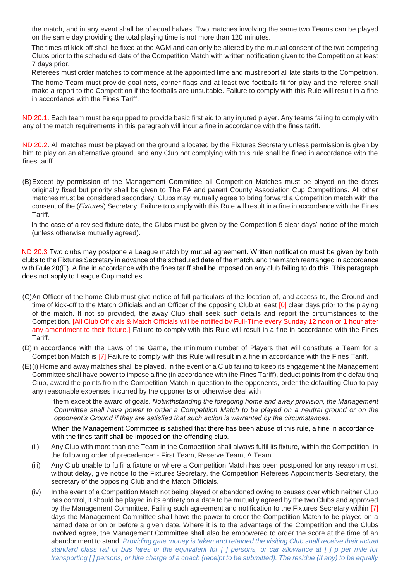the match, and in any event shall be of equal halves. Two matches involving the same two Teams can be played on the same day providing the total playing time is not more than 120 minutes.

The times of kick-off shall be fixed at the AGM and can only be altered by the mutual consent of the two competing Clubs prior to the scheduled date of the Competition Match with written notification given to the Competition at least 7 days prior.

Referees must order matches to commence at the appointed time and must report all late starts to the Competition. The home Team must provide goal nets, corner flags and at least two footballs fit for play and the referee shall make a report to the Competition if the footballs are unsuitable. Failure to comply with this Rule will result in a fine in accordance with the Fines Tariff.

ND 20.1. Each team must be equipped to provide basic first aid to any injured player. Any teams failing to comply with any of the match requirements in this paragraph will incur a fine in accordance with the fines tariff.

ND 20.2. All matches must be played on the ground allocated by the Fixtures Secretary unless permission is given by him to play on an alternative ground, and any Club not complying with this rule shall be fined in accordance with the fines tariff.

(B)Except by permission of the Management Committee all Competition Matches must be played on the dates originally fixed but priority shall be given to The FA and parent County Association Cup Competitions. All other matches must be considered secondary. Clubs may mutually agree to bring forward a Competition match with the consent of the (*Fixtures*) Secretary. Failure to comply with this Rule will result in a fine in accordance with the Fines Tariff.

In the case of a revised fixture date, the Clubs must be given by the Competition 5 clear days' notice of the match (unless otherwise mutually agreed).

ND 20.3 Two clubs may postpone a League match by mutual agreement. Written notification must be given by both clubs to the Fixtures Secretary in advance of the scheduled date of the match, and the match rearranged in accordance with Rule 20(E). A fine in accordance with the fines tariff shall be imposed on any club failing to do this. This paragraph does not apply to League Cup matches.

- (C)An Officer of the home Club must give notice of full particulars of the location of, and access to, the Ground and time of kick-off to the Match Officials and an Officer of the opposing Club at least [0] clear days prior to the playing of the match. If not so provided, the away Club shall seek such details and report the circumstances to the Competition. [All Club Officials & Match Officials will be notified by Full-Time every Sunday 12 noon or 1 hour after any amendment to their fixture.] Failure to comply with this Rule will result in a fine in accordance with the Fines Tariff.
- (D)In accordance with the Laws of the Game, the minimum number of Players that will constitute a Team for a Competition Match is [7] Failure to comply with this Rule will result in a fine in accordance with the Fines Tariff.
- (E)(i) Home and away matches shall be played. In the event of a Club failing to keep its engagement the Management Committee shall have power to impose a fine (in accordance with the Fines Tariff), deduct points from the defaulting Club, award the points from the Competition Match in question to the opponents, order the defaulting Club to pay any reasonable expenses incurred by the opponents or otherwise deal with

them except the award of goals. *Notwithstanding the foregoing home and away provision, the Management Committee shall have power to order a Competition Match to be played on a neutral ground or on the opponent's Ground if they are satisfied that such action is warranted by the circumstances.*

When the Management Committee is satisfied that there has been abuse of this rule, a fine in accordance with the fines tariff shall be imposed on the offending club.

- (ii) Any Club with more than one Team in the Competition shall always fulfil its fixture, within the Competition, in the following order of precedence: - First Team, Reserve Team, A Team.
- (iii) Any Club unable to fulfil a fixture or where a Competition Match has been postponed for any reason must, without delay, give notice to the Fixtures Secretary, the Competition Referees Appointments Secretary, the secretary of the opposing Club and the Match Officials.
- (iv) In the event of a Competition Match not being played or abandoned owing to causes over which neither Club has control, it should be played in its entirety on a date to be mutually agreed by the two Clubs and approved by the Management Committee. Failing such agreement and notification to the Fixtures Secretary within [7] days the Management Committee shall have the power to order the Competition Match to be played on a named date or on or before a given date. Where it is to the advantage of the Competition and the Clubs involved agree, the Management Committee shall also be empowered to order the score at the time of an abandonment to stand. *Providing gate money is taken and retained the visiting Club shall receive their actual standard class rail or bus fares or the equivalent for [ ] persons, or car allowance at [ ] p per mile for transporting [ ] persons, or hire charge of a coach (receipt to be submitted). The residue (if any) to be equally*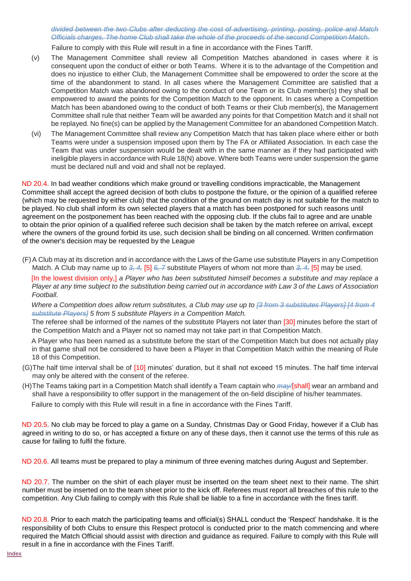*divided between the two Clubs after deducting the cost of advertising, printing, posting, police and Match Officials charges. The home Club shall take the whole of the proceeds of the second Competition Match.*

Failure to comply with this Rule will result in a fine in accordance with the Fines Tariff.

- (v) The Management Committee shall review all Competition Matches abandoned in cases where it is consequent upon the conduct of either or both Teams. Where it is to the advantage of the Competition and does no injustice to either Club, the Management Committee shall be empowered to order the score at the time of the abandonment to stand. In all cases where the Management Committee are satisfied that a Competition Match was abandoned owing to the conduct of one Team or its Club member(s) they shall be empowered to award the points for the Competition Match to the opponent. In cases where a Competition Match has been abandoned owing to the conduct of both Teams or their Club member(s), the Management Committee shall rule that neither Team will be awarded any points for that Competition Match and it shall not be replayed. No fine(s) can be applied by the Management Committee for an abandoned Competition Match.
- (vi) The Management Committee shall review any Competition Match that has taken place where either or both Teams were under a suspension imposed upon them by The FA or Affiliated Association. In each case the Team that was under suspension would be dealt with in the same manner as if they had participated with ineligible players in accordance with Rule 18(N) above. Where both Teams were under suspension the game must be declared null and void and shall not be replayed.

ND 20.4. In bad weather conditions which make ground or travelling conditions impracticable, the Management Committee shall accept the agreed decision of both clubs to postpone the fixture, or the opinion of a qualified referee (which may be requested by either club) that the condition of the ground on match day is not suitable for the match to be played. No club shall inform its own selected players that a match has been postponed for such reasons until agreement on the postponement has been reached with the opposing club. If the clubs fail to agree and are unable to obtain the prior opinion of a qualified referee such decision shall be taken by the match referee on arrival, except where the owners of the ground forbid its use, such decision shall be binding on all concerned. Written confirmation of the owner's decision may be requested by the League

(F)A Club may at its discretion and in accordance with the Laws of the Game use substitute Players in any Competition Match. A Club may name up to *3, 4,* [5] *6, 7* substitute Players of whom not more than *3, 4,* [5] may be used.

[In the lowest division only,] *a Player who has been substituted himself becomes a substitute and may replace a Player at any time subject to the substitution being carried out in accordance with Law 3 of the Laws of Association Football.* 

*Where a Competition does allow return substitutes, a Club may use up to [3 from 3 substitutes Players] [4 from 4 substitute Players] 5 from 5 substitute Players in a Competition Match.*

The referee shall be informed of the names of the substitute Players not later than [30] minutes before the start of the Competition Match and a Player not so named may not take part in that Competition Match.

A Player who has been named as a substitute before the start of the Competition Match but does not actually play in that game shall not be considered to have been a Player in that Competition Match within the meaning of Rule 18 of this Competition.

- (G)The half time interval shall be of [10] minutes' duration, but it shall not exceed 15 minutes. The half time interval may only be altered with the consent of the referee.
- (H)The Teams taking part in a Competition Match shall identify a Team captain who *may/*[shall] wear an armband and shall have a responsibility to offer support in the management of the on-field discipline of his/her teammates.

Failure to comply with this Rule will result in a fine in accordance with the Fines Tariff.

ND 20.5. No club may be forced to play a game on a Sunday, Christmas Day or Good Friday, however if a Club has agreed in writing to do so, or has accepted a fixture on any of these days, then it cannot use the terms of this rule as cause for failing to fulfil the fixture.

ND 20.6. All teams must be prepared to play a minimum of three evening matches during August and September.

ND 20.7. The number on the shirt of each player must be inserted on the team sheet next to their name. The shirt number must be inserted on to the team sheet prior to the kick off. Referees must report all breaches of this rule to the competition. Any Club failing to comply with this Rule shall be liable to a fine in accordance with the fines tariff.

ND 20.8. Prior to each match the participating teams and official(s) SHALL conduct the 'Respect' handshake. It is the responsibility of both Clubs to ensure this Respect protocol is conducted prior to the match commencing and where required the Match Official should assist with direction and guidance as required. Failure to comply with this Rule will result in a fine in accordance with the Fines Tariff.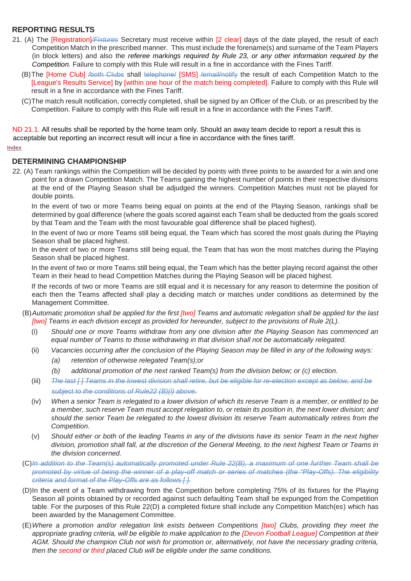## <span id="page-14-0"></span>**REPORTING RESULTS**

- 21. (A) The [Registration]*/Fixtures* Secretary must receive within [2 clear] days of the date played, the result of each Competition Match in the prescribed manner. This must include the forename(s) and surname of the Team Players (in block letters) and also the *referee markings required by Rule 23, or any other information required by the Competition.* Failure to comply with this Rule will result in a fine in accordance with the Fines Tariff.
	- (B) The [Home Club] /both Clubs shall telephone/ [SMS] /email/notify the result of each Competition Match to the [League's Results Service] by [within one hour of the match being completed]. Failure to comply with this Rule will result in a fine in accordance with the Fines Tariff.
	- (C)The match result notification, correctly completed, shall be signed by an Officer of the Club, or as prescribed by the Competition. Failure to comply with this Rule will result in a fine in accordance with the Fines Tariff.

ND 21.1. All results shall be reported by the home team only. Should an away team decide to report a result this is acceptable but reporting an incorrect result will incur a fine in accordance with the fines tariff.

## **[Index](#page-0-0)**

#### <span id="page-14-1"></span>**DETERMINING CHAMPIONSHIP**

22. (A) Team rankings within the Competition will be decided by points with three points to be awarded for a win and one point for a drawn Competition Match. The Teams gaining the highest number of points in their respective divisions at the end of the Playing Season shall be adjudged the winners. Competition Matches must not be played for double points.

In the event of two or more Teams being equal on points at the end of the Playing Season, rankings shall be determined by goal difference (where the goals scored against each Team shall be deducted from the goals scored by that Team and the Team with the most favourable goal difference shall be placed highest).

In the event of two or more Teams still being equal, the Team which has scored the most goals during the Playing Season shall be placed highest.

In the event of two or more Teams still being equal, the Team that has won the most matches during the Playing Season shall be placed highest.

In the event of two or more Teams still being equal, the Team which has the better playing record against the other Team in their head to head Competition Matches during the Playing Season will be placed highest.

If the records of two or more Teams are still equal and it is necessary for any reason to determine the position of each then the Teams affected shall play a deciding match or matches under conditions as determined by the Management Committee.

- (B)*Automatic promotion shall be applied for the first [two] Teams and automatic relegation shall be applied for the last [two] Teams in each division except as provided for hereunder, subject to the provisions of Rule 2(L).*
	- (i) *Should one or more Teams withdraw from any one division after the Playing Season has commenced an equal number of Teams to those withdrawing in that division shall not be automatically relegated.*
	- (ii) *Vacancies occurring after the conclusion of the Playing Season may be filled in any of the following ways: (a) retention of otherwise relegated Team(s);or*
		- *(b) additional promotion of the next ranked Team(s) from the division below; or (c) election.*
	- (iii) *The last [ ] Teams in the lowest division shall retire, but be eligible for re-election except as below, and be subject to the conditions of Rule22 (B)(i) above.*
	- (iv) *When a senior Team is relegated to a lower division of which its reserve Team is a member, or entitled to be a member, such reserve Team must accept relegation to, or retain its position in, the next lower division; and should the senior Team be relegated to the lowest division its reserve Team automatically retires from the Competition.*
	- (v) *Should either or both of the leading Teams in any of the divisions have its senior Team in the next higher division, promotion shall fall, at the discretion of the General Meeting, to the next highest Team or Teams in the division concerned.*
- (C)*In addition to the Team(s) automatically promoted under Rule 22(B), a maximum of one further Team shall be promoted by virtue of being the winner of a play-off match or series of matches (the "Play-Offs). The eligibility criteria and format of the Play-Offs are as follows [ ].*
- (D)In the event of a Team withdrawing from the Competition before completing 75% of its fixtures for the Playing Season all points obtained by or recorded against such defaulting Team shall be expunged from the Competition table. For the purposes of this Rule 22(D) a completed fixture shall include any Competition Match(es) which has been awarded by the Management Committee.
- (E)*Where a promotion and/or relegation link exists between Competitions [two] Clubs, providing they meet the appropriate grading criteria, will be eligible to make application to the [Devon Football League] Competition at their AGM. Should the champion Club not wish for promotion or, alternatively, not have the necessary grading criteria, then the second or third placed Club will be eligible under the same conditions.*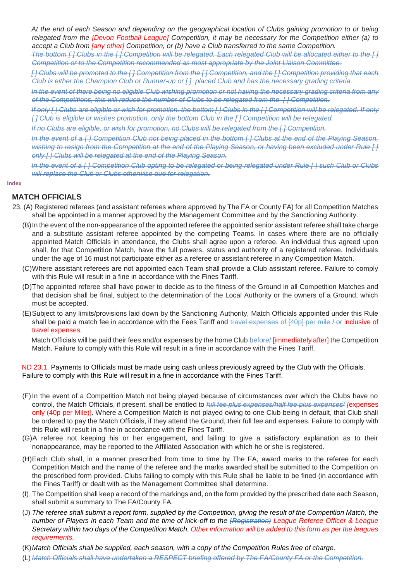*At the end of each Season and depending on the geographical location of Clubs gaining promotion to or being relegated from the [Devon Football League] Competition, it may be necessary for the Competition either (a) to accept a Club from [any other] Competition, or (b) have a Club transferred to the same Competition.*

*The bottom [ ] Clubs in the [ ] Competition will be relegated. Each relegated Club will be allocated either to the [ ] Competition or to the Competition recommended as most appropriate by the Joint Liaison Committee.*

*[ ] Clubs will be promoted to the [ ] Competition from the [ ] Competition, and the [ ] Competition providing that each Club is either the Champion Club or Runner-up or [ ] placed Club and has the necessary grading criteria.*

*In the event of there being no eligible Club wishing promotion or not having the necessary grading criteria from any of the Competitions, this will reduce the number of Clubs to be relegated from the [ ] Competition.*

*If only [ ] Clubs are eligible or wish for promotion, the bottom [ ] Clubs in the [ ] Competition will be relegated. If only [ ] Club is eligible or wishes promotion, only the bottom Club in the [ ] Competition will be relegated.*

*If no Clubs are eligible, or wish for promotion, no Clubs will be relegated from the [ ] Competition.*

*In the event of a [ ] Competition Club not being placed in the bottom [ ] Clubs at the end of the Playing Season, wishing to resign from the Competition at the end of the Playing Season, or having been excluded under Rule [ ] only [ ] Clubs will be relegated at the end of the Playing Season.*

*In the event of a [ ] Competition Club opting to be relegated or being relegated under Rule [ ] such Club or Clubs will replace the Club or Clubs otherwise due for relegation.*

#### **[Index](#page-0-0)**

#### <span id="page-15-0"></span>**MATCH OFFICIALS**

- 23. (A) Registered referees (and assistant referees where approved by The FA or County FA) for all Competition Matches shall be appointed in a manner approved by the Management Committee and by the Sanctioning Authority.
	- (B)In the event of the non-appearance of the appointed referee the appointed senior assistant referee shall take charge and a substitute assistant referee appointed by the competing Teams. In cases where there are no officially appointed Match Officials in attendance, the Clubs shall agree upon a referee. An individual thus agreed upon shall, for that Competition Match, have the full powers, status and authority of a registered referee. Individuals under the age of 16 must not participate either as a referee or assistant referee in any Competition Match.
	- (C)Where assistant referees are not appointed each Team shall provide a Club assistant referee. Failure to comply with this Rule will result in a fine in accordance with the Fines Tariff.
	- (D)The appointed referee shall have power to decide as to the fitness of the Ground in all Competition Matches and that decision shall be final, subject to the determination of the Local Authority or the owners of a Ground, which must be accepted.
	- (E)Subject to any limits/provisions laid down by the Sanctioning Authority, Match Officials appointed under this Rule shall be paid a match fee in accordance with the Fees Tariff and travel expenses of [40p] per mile / or inclusive of travel expenses.

Match Officials will be paid their fees and/or expenses by the home Club before/ [immediately after] the Competition Match. Failure to comply with this Rule will result in a fine in accordance with the Fines Tariff.

ND 23.1. Payments to Officials must be made using cash unless previously agreed by the Club with the Officials. Failure to comply with this Rule will result in a fine in accordance with the Fines Tariff.

- (F)In the event of a Competition Match not being played because of circumstances over which the Clubs have no control, the Match Officials, if present, shall be entitled to *full fee plus expenses/half fee plus expenses/ [*expenses only (40p per Mile)]. Where a Competition Match is not played owing to one Club being in default, that Club shall be ordered to pay the Match Officials, if they attend the Ground, their full fee and expenses. Failure to comply with this Rule will result in a fine in accordance with the Fines Tariff.
- (G)A referee not keeping his or her engagement, and failing to give a satisfactory explanation as to their nonappearance, may be reported to the Affiliated Association with which he or she is registered.
- (H)Each Club shall, in a manner prescribed from time to time by The FA, award marks to the referee for each Competition Match and the name of the referee and the marks awarded shall be submitted to the Competition on the prescribed form provided. Clubs failing to comply with this Rule shall be liable to be fined (in accordance with the Fines Tariff) or dealt with as the Management Committee shall determine.
- (I) The Competition shall keep a record of the markings and, on the form provided by the prescribed date each Season, shall submit a summary to The FA/County FA.
- (J) *The referee shall submit a report form, supplied by the Competition, giving the result of the Competition Match, the number of Players in each Team and the time of kick-off to the (Registration) League Referee Officer & League Secretary within two days of the Competition Match. Other information will be added to this form as per the leagues requirements.*
- (K)*Match Officials shall be supplied, each season, with a copy of the Competition Rules free of charge.*
- (L) *Match Officials shall have undertaken a RESPECT briefing offered by The FA/County FA or the Competition.*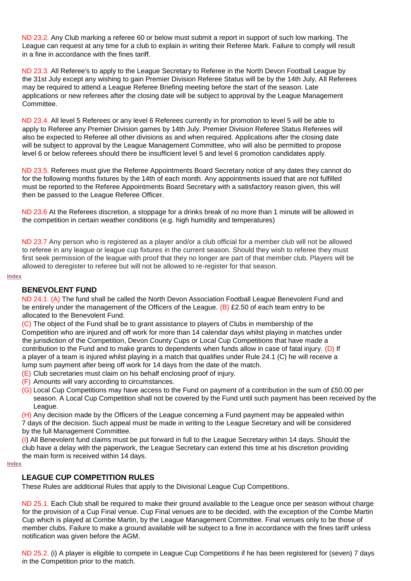ND 23.2. Any Club marking a referee 60 or below must submit a report in support of such low marking. The League can request at any time for a club to explain in writing their Referee Mark. Failure to comply will result in a fine in accordance with the fines tariff.

ND 23.3. All Referee's to apply to the League Secretary to Referee in the North Devon Football League by the 31st July except any wishing to gain Premier Division Referee Status will be by the 14th July, All Referees may be required to attend a League Referee Briefing meeting before the start of the season. Late applications or new referees after the closing date will be subject to approval by the League Management Committee.

ND 23.4. All level 5 Referees or any level 6 Referees currently in for promotion to level 5 will be able to apply to Referee any Premier Division games by 14th July. Premier Division Referee Status Referees will also be expected to Referee all other divisions as and when required. Applications after the closing date will be subject to approval by the League Management Committee, who will also be permitted to propose level 6 or below referees should there be insufficient level 5 and level 6 promotion candidates apply.

ND 23.5. Referees must give the Referee Appointments Board Secretary notice of any dates they cannot do for the following months fixtures by the 14th of each month. Any appointments issued that are not fulfilled must be reported to the Referee Appointments Board Secretary with a satisfactory reason given, this will then be passed to the League Referee Officer.

ND 23.6 At the Referees discretion, a stoppage for a drinks break of no more than 1 minute will be allowed in the competition in certain weather conditions (e.g. high humidity and temperatures)

ND 23.7 Any person who is registered as a player and/or a club official for a member club will not be allowed to referee in any league or league cup fixtures in the current season. Should they wish to referee they must first seek permission of the league with proof that they no longer are part of that member club. Players will be allowed to deregister to referee but will not be allowed to re-register for that season.

#### <span id="page-16-0"></span>**[Index](#page-0-0)**

#### **BENEVOLENT FUND**

ND 24.1. (A) The fund shall be called the North Devon Association Football League Benevolent Fund and be entirely under the management of the Officers of the League.  $(B)$  £2.50 of each team entry to be allocated to the Benevolent Fund.

(C) The object of the Fund shall be to grant assistance to players of Clubs in membership of the Competition who are injured and off work for more than 14 calendar days whilst playing in matches under the jurisdiction of the Competition, Devon County Cups or Local Cup Competitions that have made a contribution to the Fund and to make grants to dependents when funds allow in case of fatal injury. (D) If a player of a team is injured whilst playing in a match that qualifies under Rule 24.1 (C) he will receive a lump sum payment after being off work for 14 days from the date of the match.

- (E) Club secretaries must claim on his behalf enclosing proof of injury.
- (F) Amounts will vary according to circumstances.
- (G) Local Cup Competitions may have access to the Fund on payment of a contribution in the sum of £50.00 per season. A Local Cup Competition shall not be covered by the Fund until such payment has been received by the League.

(H) Any decision made by the Officers of the League concerning a Fund payment may be appealed within 7 days of the decision. Such appeal must be made in writing to the League Secretary and will be considered by the full Management Committee.

(I) All Benevolent fund claims must be put forward in full to the League Secretary within 14 days. Should the club have a delay with the paperwork, the League Secretary can extend this time at his discretion providing the main form is received within 14 days.

#### <span id="page-16-1"></span>**[Index](#page-0-0)**

## **LEAGUE CUP COMPETITION RULES**

These Rules are additional Rules that apply to the Divisional League Cup Competitions.

ND 25.1. Each Club shall be required to make their ground available to the League once per season without charge for the provision of a Cup Final venue. Cup Final venues are to be decided, with the exception of the Combe Martin Cup which is played at Combe Martin, by the League Management Committee. Final venues only to be those of member clubs. Failure to make a ground available will be subject to a fine in accordance with the fines tariff unless notification was given before the AGM.

ND 25.2. (i) A player is eligible to compete in League Cup Competitions if he has been registered for (seven) 7 days in the Competition prior to the match.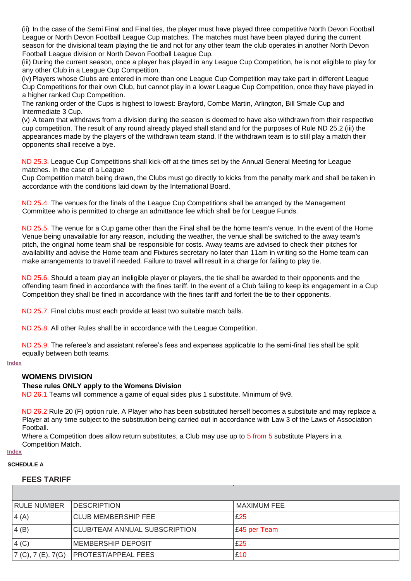(ii) In the case of the Semi Final and Final ties, the player must have played three competitive North Devon Football League or North Devon Football League Cup matches. The matches must have been played during the current season for the divisional team playing the tie and not for any other team the club operates in another North Devon Football League division or North Devon Football League Cup.

(iii) During the current season, once a player has played in any League Cup Competition, he is not eligible to play for any other Club in a League Cup Competition.

(iv)Players whose Clubs are entered in more than one League Cup Competition may take part in different League Cup Competitions for their own Club, but cannot play in a lower League Cup Competition, once they have played in a higher ranked Cup Competition.

The ranking order of the Cups is highest to lowest: Brayford, Combe Martin, Arlington, Bill Smale Cup and Intermediate 3 Cup.

(v) A team that withdraws from a division during the season is deemed to have also withdrawn from their respective cup competition. The result of any round already played shall stand and for the purposes of Rule ND 25.2 (iii) the appearances made by the players of the withdrawn team stand. If the withdrawn team is to still play a match their opponents shall receive a bye.

ND 25.3. League Cup Competitions shall kick-off at the times set by the Annual General Meeting for League matches. In the case of a League

Cup Competition match being drawn, the Clubs must go directly to kicks from the penalty mark and shall be taken in accordance with the conditions laid down by the International Board.

ND 25.4. The venues for the finals of the League Cup Competitions shall be arranged by the Management Committee who is permitted to charge an admittance fee which shall be for League Funds.

ND 25.5. The venue for a Cup game other than the Final shall be the home team's venue. In the event of the Home Venue being unavailable for any reason, including the weather, the venue shall be switched to the away team's pitch, the original home team shall be responsible for costs. Away teams are advised to check their pitches for availability and advise the Home team and Fixtures secretary no later than 11am in writing so the Home team can make arrangements to travel if needed. Failure to travel will result in a charge for failing to play tie.

ND 25.6. Should a team play an ineligible player or players, the tie shall be awarded to their opponents and the offending team fined in accordance with the fines tariff. In the event of a Club failing to keep its engagement in a Cup Competition they shall be fined in accordance with the fines tariff and forfeit the tie to their opponents.

ND 25.7. Final clubs must each provide at least two suitable match balls.

ND 25.8. All other Rules shall be in accordance with the League Competition.

ND 25.9. The referee's and assistant referee's fees and expenses applicable to the semi-final ties shall be split equally between both teams.

#### <span id="page-17-0"></span>**[Index](#page-0-0)**

## **WOMENS DIVISION**

#### **These rules ONLY apply to the Womens Division**

ND 26.1 Teams will commence a game of equal sides plus 1 substitute. Minimum of 9v9.

ND 26.2 Rule 20 (F) option rule. A Player who has been substituted herself becomes a substitute and may replace a Player at any time subject to the substitution being carried out in accordance with Law 3 of the Laws of Association Football.

Where a Competition does allow return substitutes, a Club may use up to 5 from 5 substitute Players in a Competition Match.

## **[Index](#page-0-0)**

## **SCHEDULE A**

#### **FEES TARIFF**

| <b>RULE NUMBER</b>  | <b>DESCRIPTION</b>            | MAXIMUM FEE  |
|---------------------|-------------------------------|--------------|
| 4(A)                | <b>CLUB MEMBERSHIP FEE</b>    | £25          |
| 4(B)                | CLUB/TEAM ANNUAL SUBSCRIPTION | E45 per Team |
| 4(C)                | <b>MEMBERSHIP DEPOSIT</b>     | £25          |
| 7 (C), 7 (E), 7 (G) | <b>PROTEST/APPEAL FEES</b>    | £10          |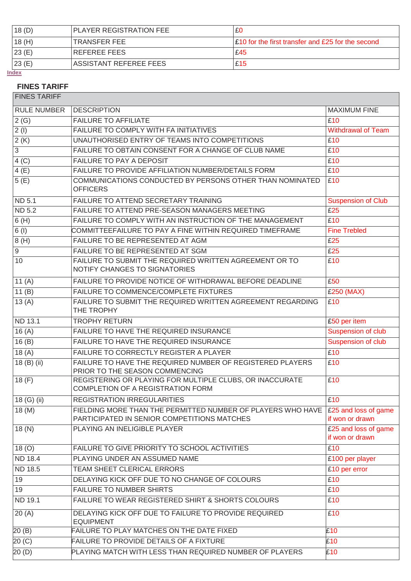| 18(D) | <b>PLAYER REGISTRATION FEE</b> | £0                                                |
|-------|--------------------------------|---------------------------------------------------|
| 18(H) | 'TRANSFER FEE                  | E10 for the first transfer and £25 for the second |
| 23(E) | REFEREE FEES                   | £45                                               |
| 23(E) | ASSISTANT REFEREE FEES         | £15                                               |

**[Index](#page-0-0)**

# **FINES TARIFF**

FINES TARIFF

| <b>RULE NUMBER</b> | <b>DESCRIPTION</b>                                                                                                              | <b>MAXIMUM FINE</b>                     |
|--------------------|---------------------------------------------------------------------------------------------------------------------------------|-----------------------------------------|
| 2(G)               | <b>FAILURE TO AFFILIATE</b>                                                                                                     | £10                                     |
| 2(1)               | FAILURE TO COMPLY WITH FA INITIATIVES                                                                                           | <b>Withdrawal of Team</b>               |
| 2(K)               | UNAUTHORISED ENTRY OF TEAMS INTO COMPETITIONS                                                                                   | £10                                     |
| 3                  | FAILURE TO OBTAIN CONSENT FOR A CHANGE OF CLUB NAME                                                                             | £10                                     |
| 4(C)               | FAILURE TO PAY A DEPOSIT                                                                                                        | £10                                     |
| 4(E)               | FAILURE TO PROVIDE AFFILIATION NUMBER/DETAILS FORM                                                                              | £10                                     |
| 5(E)               | COMMUNICATIONS CONDUCTED BY PERSONS OTHER THAN NOMINATED<br><b>OFFICERS</b>                                                     | £10                                     |
| ND 5.1             | FAILURE TO ATTEND SECRETARY TRAINING                                                                                            | <b>Suspension of Club</b>               |
| <b>ND 5.2</b>      | FAILURE TO ATTEND PRE-SEASON MANAGERS MEETING                                                                                   | £25                                     |
| 6(H)               | FAILURE TO COMPLY WITH AN INSTRUCTION OF THE MANAGEMENT                                                                         | £10                                     |
| 6(1)               | COMMITTEEFAILURE TO PAY A FINE WITHIN REQUIRED TIMEFRAME                                                                        | <b>Fine Trebled</b>                     |
| 8(H)               | FAILURE TO BE REPRESENTED AT AGM                                                                                                | £25                                     |
| $\boldsymbol{9}$   | FAILURE TO BE REPRESENTED AT SGM                                                                                                | £25                                     |
| 10                 | FAILURE TO SUBMIT THE REQUIRED WRITTEN AGREEMENT OR TO<br>NOTIFY CHANGES TO SIGNATORIES                                         | £10                                     |
| 11 $(A)$           | FAILURE TO PROVIDE NOTICE OF WITHDRAWAL BEFORE DEADLINE                                                                         | £50                                     |
| 11 $(B)$           | FAILURE TO COMMENCE/COMPLETE FIXTURES                                                                                           | £250 (MAX)                              |
| 13(A)              | FAILURE TO SUBMIT THE REQUIRED WRITTEN AGREEMENT REGARDING<br>THE TROPHY                                                        | £10                                     |
| <b>ND 13.1</b>     | <b>TROPHY RETURN</b>                                                                                                            | £50 per item                            |
| 16(A)              | FAILURE TO HAVE THE REQUIRED INSURANCE                                                                                          | Suspension of club                      |
| 16(B)              | FAILURE TO HAVE THE REQUIRED INSURANCE                                                                                          | Suspension of club                      |
| 18(A)              | FAILURE TO CORRECTLY REGISTER A PLAYER                                                                                          | £10                                     |
| 18 (B) (ii)        | FAILURE TO HAVE THE REQUIRED NUMBER OF REGISTERED PLAYERS<br>PRIOR TO THE SEASON COMMENCING                                     | £10                                     |
| 18(F)              | REGISTERING OR PLAYING FOR MULTIPLE CLUBS, OR INACCURATE<br><b>COMPLETION OF A REGISTRATION FORM</b>                            | £10                                     |
| 18 (G) (ii)        | <b>REGISTRATION IRREGULARITIES</b>                                                                                              | E10                                     |
| 18(M)              | FIELDING MORE THAN THE PERMITTED NUMBER OF PLAYERS WHO HAVE E25 and loss of game<br>PARTICIPATED IN SENIOR COMPETITIONS MATCHES | if won or drawn                         |
| 18(N)              | PLAYING AN INELIGIBLE PLAYER                                                                                                    | £25 and loss of game<br>if won or drawn |
| 18(0)              | FAILURE TO GIVE PRIORITY TO SCHOOL ACTIVITIES                                                                                   | £10                                     |
| ND 18.4            | PLAYING UNDER AN ASSUMED NAME                                                                                                   | £100 per player                         |
| ND 18.5            | TEAM SHEET CLERICAL ERRORS                                                                                                      | £10 per error                           |
| 19                 | DELAYING KICK OFF DUE TO NO CHANGE OF COLOURS                                                                                   | £10                                     |
| 19                 | <b>FAILURE TO NUMBER SHIRTS</b>                                                                                                 | £10                                     |
| ND 19.1            | FAILURE TO WEAR REGISTERED SHIRT & SHORTS COLOURS                                                                               | £10                                     |
| 20(A)              | DELAYING KICK OFF DUE TO FAILURE TO PROVIDE REQUIRED<br><b>EQUIPMENT</b>                                                        | £10                                     |
| 20(B)              | FAILURE TO PLAY MATCHES ON THE DATE FIXED                                                                                       | £10                                     |
| 20 (C)             | FAILURE TO PROVIDE DETAILS OF A FIXTURE                                                                                         | £10                                     |
| 20(D)              | PLAYING MATCH WITH LESS THAN REQUIRED NUMBER OF PLAYERS                                                                         | £10                                     |